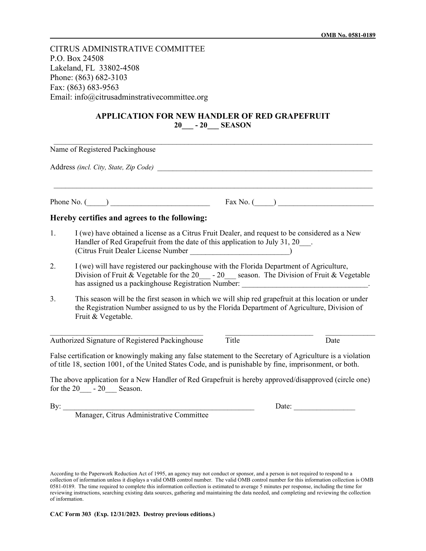CITRUS ADMINISTRATIVE COMMITTEE P.O. Box 24508 Lakeland, FL 33802-4508 Phone: (863) 682-3103 Fax: (863) 683-9563 Email: info@citrusadminstrativecommittee.org

## **APPLICATION FOR NEW HANDLER OF RED GRAPEFRUIT 20\_\_\_ - 20\_\_\_ SEASON**

|                    | Name of Registered Packinghouse                                                                                                                                                                                                                                          |                                  |       |
|--------------------|--------------------------------------------------------------------------------------------------------------------------------------------------------------------------------------------------------------------------------------------------------------------------|----------------------------------|-------|
|                    |                                                                                                                                                                                                                                                                          |                                  |       |
| Phone No. $(\_\_)$ |                                                                                                                                                                                                                                                                          | $\text{Fax No.} \quad \text{(}}$ |       |
|                    | Hereby certifies and agrees to the following:                                                                                                                                                                                                                            |                                  |       |
| 1.                 | I (we) have obtained a license as a Citrus Fruit Dealer, and request to be considered as a New<br>Handler of Red Grapefruit from the date of this application to July 31, 20___.                                                                                         |                                  |       |
| 2.                 | I (we) will have registered our packinghouse with the Florida Department of Agriculture,<br>Division of Fruit & Vegetable for the 20 - 20 season. The Division of Fruit & Vegetable<br>has assigned us a packinghouse Registration Number: _____________________________ |                                  |       |
| 3.                 | This season will be the first season in which we will ship red grapefruit at this location or under<br>the Registration Number assigned to us by the Florida Department of Agriculture, Division of<br>Fruit & Vegetable.                                                |                                  |       |
|                    | Authorized Signature of Registered Packinghouse                                                                                                                                                                                                                          | Title                            | Date  |
|                    | False certification or knowingly making any false statement to the Secretary of Agriculture is a violation<br>of title 18, section 1001, of the United States Code, and is punishable by fine, imprisonment, or both.                                                    |                                  |       |
|                    | The above application for a New Handler of Red Grapefruit is hereby approved/disapproved (circle one)<br>for the $20$ $-$ - $20$ Season.                                                                                                                                 |                                  |       |
|                    | By: Manager, Citrus Administrative Committee                                                                                                                                                                                                                             |                                  | Date: |

According to the Paperwork Reduction Act of 1995, an agency may not conduct or sponsor, and a person is not required to respond to a collection of information unless it displays a valid OMB control number. The valid OMB control number for this information collection is OMB 0581-0189. The time required to complete this information collection is estimated to average 5 minutes per response, including the time for reviewing instructions, searching existing data sources, gathering and maintaining the data needed, and completing and reviewing the collection of information.